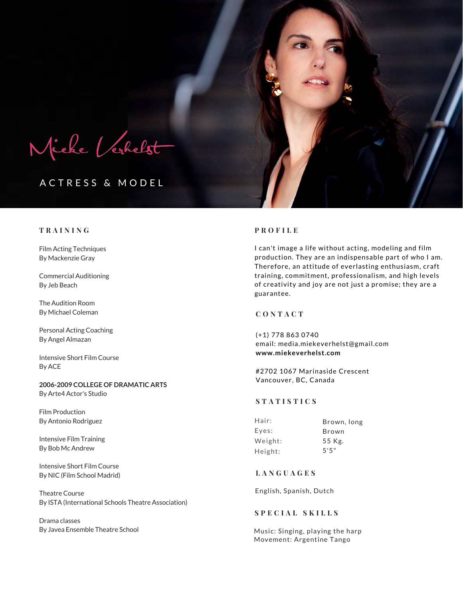Micke Verhelst

# ACTRESS & MODEL

# **T R A I N I N G P R O F I L E**

Film Acting Techniques By Mackenzie Gray

Commercial Auditioning By Jeb Beach

The Audition Room By Michael Coleman

Personal Acting Coaching By Angel Almazan

Intensive Short Film Course By ACE

**2006-2009 COLLEGE OF DRAMATIC ARTS** By Arte4 Actor's Studio

Film Production By Antonio Rodriguez

Intensive Film Training By Bob Mc Andrew

Intensive Short Film Course By NIC (Film School Madrid)

Theatre Course By ISTA (International Schools Theatre Association)

Drama classes By Javea Ensemble Theatre School

I can't image a life without acting, modeling and film production. They are an indispensable part of who I am. Therefore, an attitude of everlasting enthusiasm, craft training, commitment, professionalism, and high levels of creativity and joy are not just a promise; they are a guarantee.

# **C O N T A C T**

(+1) 778 863 0740 email: media.miekeverhelst@gmail.com **www.miekeverhelst.com**

#2702 1067 Marinaside Crescent Vancouver, BC, Canada

### **S T A T I S T I C S**

Brown, long Brown 55 Kg. 5'5" Hair: Eyes: Weight: Height:

# **L A N G U A G E S**

English, Spanish, Dutch

## **S P E C I A L S K I L L S**

Music: Singing, playing the harp Movement: Argentine Tango